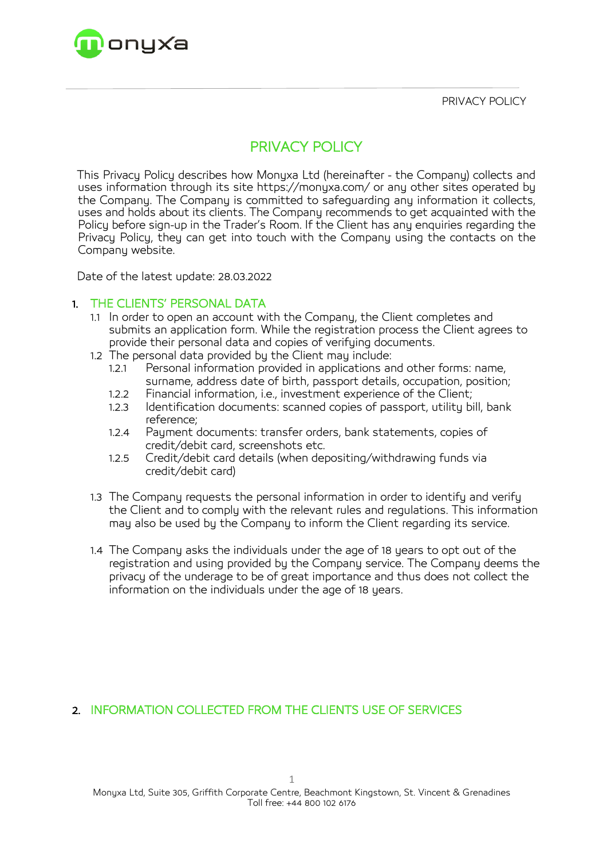PRIVACY POLICY



# PRIVACY POLICY

This Privacy Policy describes how Monyxa Ltd (hereinafter - the Company) collects and uses information through its site https://monyxa.com/ or any other sites operated by the Company. The Company is committed to safeguarding any information it collects, uses and holds about its clients. The Company recommends to get acquainted with the Policy before sign-up in the Trader's Room. If the Client has any enquiries regarding the Privacy Policy, they can get into touch with the Company using the contacts on the Company website.

Date of the latest update: 28.03.2022

#### 1. THE CLIENTS' PERSONAL DATA

- 1.1 In order to open an account with the Company, the Client completes and submits an application form. While the registration process the Client agrees to provide their personal data and copies of verifuing documents.
- 1.2 The personal data provided by the Client may include:
	- 1.2.1 Personal information provided in applications and other forms: name, surname, address date of birth, passport details, occupation, position;
	- 1.2.2 Financial information, i.e., investment experience of the Client;
	- 1.2.3 Identification documents: scanned copies of passport, utility bill, bank reference;
	- 1.2.4 Payment documents: transfer orders, bank statements, copies of credit/debit card, screenshots etc.
	- 1.2.5 Credit/debit card details (when depositing/withdrawing funds via credit/debit card)
- 1.3 The Company requests the personal information in order to identify and verify the Client and to comply with the relevant rules and regulations. This information may also be used by the Company to inform the Client regarding its service.
- 1.4 The Company asks the individuals under the age of 18 years to opt out of the registration and using provided by the Company service. The Company deems the privacy of the underage to be of great importance and thus does not collect the information on the individuals under the age of 18 years.

## 2. INFORMATION COLLECTED FROM THE CLIENTS USE OF SERVICES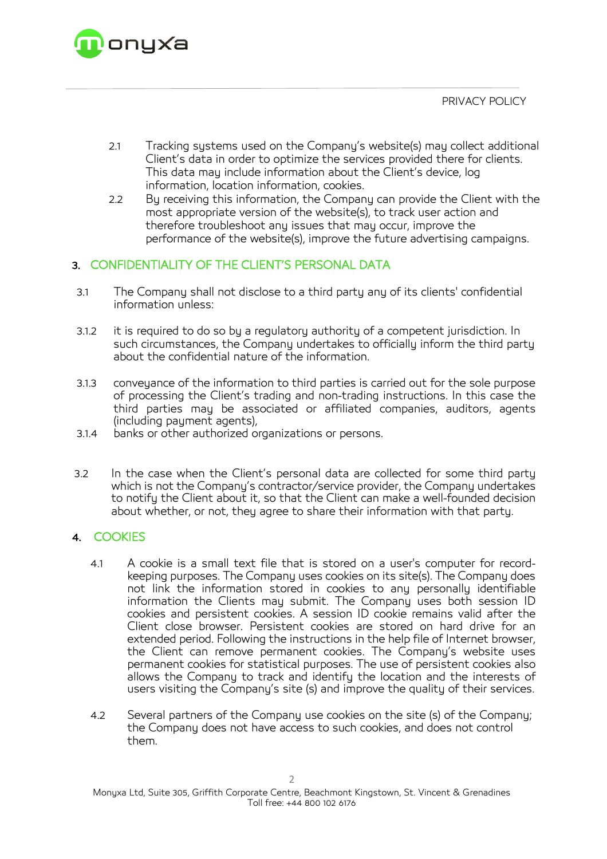

- 2.1 Tracking systems used on the Company's website(s) may collect additional Client's data in order to optimize the services provided there for clients. This data may include information about the Client's device, log information, location information, cookies.
- 2.2 By receiving this information, the Company can provide the Client with the most appropriate version of the website(s), to track user action and therefore troubleshoot any issues that may occur, improve the performance of the website(s), improve the future advertising campaigns.

## 3. CONFIDENTIALITY OF THE CLIENT'S PERSONAL DATA

- 3.1 The Company shall not disclose to a third party any of its clients' confidential information unless:
- 3.1.2 it is required to do so by a regulatory authority of a competent jurisdiction. In such circumstances, the Company undertakes to officially inform the third party about the confidential nature of the information.
- 3.1.3 conveyance of the information to third parties is carried out for the sole purpose of processing the Client's trading and non-trading instructions. In this case the third parties may be associated or affiliated companies, auditors, agents (including payment agents),
- 3.1.4 banks or other authorized organizations or persons.
- 3.2 In the case when the Client's personal data are collected for some third party which is not the Company's contractor/service provider, the Company undertakes to notify the Client about it, so that the Client can make a well-founded decision about whether, or not, they agree to share their information with that party.

## 4. COOKIES

- 4.1 A cookie is a small text file that is stored on a user's computer for recordkeeping purposes. The Company uses cookies on its site(s). The Company does not link the information stored in cookies to any personally identifiable information the Clients may submit. The Company uses both session ID cookies and persistent cookies. A session ID cookie remains valid after the Client close browser. Persistent cookies are stored on hard drive for an extended period. Following the instructions in the help file of Internet browser, the Client can remove permanent cookies. The Company's website uses permanent cookies for statistical purposes. The use of persistent cookies also allows the Company to track and identify the location and the interests of users visiting the Company's site (s) and improve the quality of their services.
- 4.2 Several partners of the Company use cookies on the site (s) of the Company; the Company does not have access to such cookies, and does not control them.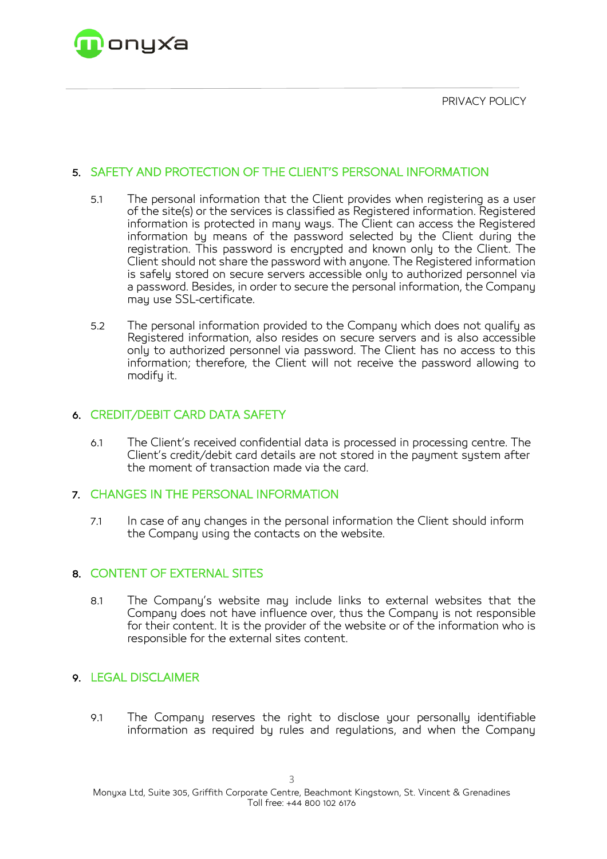

## 5. SAFETY AND PROTECTION OF THE CLIENT'S PERSONAL INFORMATION

- 5.1 The personal information that the Client provides when registering as a user of the site(s) or the services is classified as Registered information. Registered information is protected in many ways. The Client can access the Registered information by means of the password selected by the Client during the registration. This password is encrypted and known only to the Client. The Client should not share the password with anyone. The Registered information is safely stored on secure servers accessible only to authorized personnel via a password. Besides, in order to secure the personal information, the Company may use SSL-certificate.
- 5.2 The personal information provided to the Company which does not qualify as Registered information, also resides on secure servers and is also accessible only to authorized personnel via password. The Client has no access to this information; therefore, the Client will not receive the password allowing to modify it.

## 6. CREDIT/DEBIT CARD DATA SAFETY

6.1 The Client's received confidential data is processed in processing centre. The Client's credit/debit card details are not stored in the payment system after the moment of transaction made via the card.

#### 7. CHANGES IN THE PERSONAL INFORMATION

7.1 In case of any changes in the personal information the Client should inform the Company using the contacts on the website.

#### 8. CONTENT OF EXTERNAL SITES

8.1 The Company's website may include links to external websites that the Company does not have influence over, thus the Company is not responsible for their content. It is the provider of the website or of the information who is responsible for the external sites content.

#### 9. LEGAL DISCLAIMER

9.1 The Company reserves the right to disclose your personally identifiable information as required by rules and regulations, and when the Company